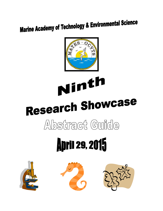## **Marine Academy of Technology & Environmental Science**



# Ninth Research Showcase Abstract Guide

## **April 29, 2015**





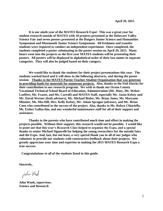**It is our ninth year of the MATES Research Expo! This was a great year for student research outside of MATES with 18 projects presented at the Delaware Valley Science Fair and seven posters presented at the Rutgers Junior Science and Humanities Symposium and Monmouth Junior Science Symposium. All freshmen and transfer students were required to conduct an independent experiment. Once completed, the students completed a poster culminating in the poster session on April 29, 2015. Many hours went into the projects as the first year MATES students will be presenting their posters. All posters will be displayed in alphabetical order of their last names in separate categories. They will also be judged based on their category.** 

**We would like to thank the students for their project presentations this year. The students worked hard and it will show in the following abstracts, and during the poster session. Thanks to the MATES Parent-Teacher-Student Organization that was generous in providing funds for materials for numerous projects. Also, thanks to the Fish Hawks for their contribution to our research program. We wish to thank our Ocean County Vocational Technical School Board of Education, Administration (Mr. Hoey, Ms. Weber-Loeffert, Mr. Frazee, and Ms. Carroll) and MATES Staff, especially Mr. Jason Kelsey and Mr. David Werner (both advisors), Mr. Michael Bixler, Mr. Brian Jones, Ms. Maryann Minnier, Ms. Mia Dill, Mrs. Kelly Kelsey, Mr. Adam Sprague (advisor), and Mr. Brian Coen who contributed to the success of the project. Also, thanks to Ms. Robyn Chiariello, Ms. Esther Gallacchio, and our wonderful maintenance staff for all of their support and assistance.** 

**Thanks to the parents who have contributed much time and effort in making the projects possible. Without their support, this research would not be possible. I would like to point out that this year's Research Class helped to organize the Expo, and a special thanks to senior Michael Signorelli for helping the young researchers for the outside fairs and the Expo. And, last, but not least, a very special thank you to all of our judges who volunteer to provide our students with constructive feedback about their projects. We greatly appreciate your time and expertise in making the 2015 MATES Research Expo a true success.** 

 **Congratulations to all of the students listed in this guide.** 

**Sincerely,**

John Wrock

**John Wnek, supervisor, Science and Research**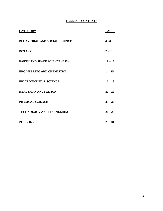## **TABLE OF CONTENTS**

| <b>CATEGORY</b>                      | <b>PAGES</b> |
|--------------------------------------|--------------|
| <b>BEHAVIORAL AND SOCIAL SCIENCE</b> | $4 - 6$      |
| <b>BOTANY</b>                        | $7 - 10$     |
| <b>EARTH AND SPACE SCIENCE (ESS)</b> | $11 - 13$    |
| <b>ENGINEERING AND CHEMISTRY</b>     | $14 - 15$    |
| <b>ENVIRONMENTAL SCIENCE</b>         | $16 - 19$    |
| <b>HEALTH AND NUTRITION</b>          | $20 - 22$    |
| PHYSICAL SCIENCE                     | $23 - 25$    |
| <b>TECHNOLOGY AND ENGINEERING</b>    | $26 - 28$    |
| <b>ZOOLOGY</b>                       | $29 - 31$    |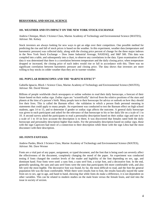### **BEHAVIORAL AND SOCIAL SCIENCE**

### **101. WEATHER AND ITS IMPACT ON THE NEW YORK STOCK EXCHANGE**

Andrew Chinique, Block 3 Science Class, Marine Academy of Technology and Environmental Science (MATES), Advisor: Mr. Kelsey

Stock investors are always looking for new ways to get an edge over their competitors. One possible method for predicting the rise and fall of stock prices is based on the weather. In this experiment, weather data (temperature and barometric pressure) was collected daily, along with the closing price percent of change for the three major indexes in the New York Stock Exchange -- Dow Jones Industrial Average, NASDAQ, and S&P 500. This data was compiled into a table, and subsequently into a chart, to observe any correlations in the data. Upon examination of the data it was determined that there is a correlation between temperature and the daily closing price; when temperature dropped or increased, the closing price of each index would rise or fall in accordance with this. There was no significant correlation between barometric pressure and closing price. The data shows that investors are more willing to buy stocks in colder weather than they are in warmer weather.

### **102. POPULAR HOROSCOPES AND THE "BARNUM EFFECT"**

Gabiella Ignacio, Block 1 Science Class, Marine Academy of Technology and Environmental Science (MATES), Advisor: Mr. David Werner

Billions of people worldwide check newspapers or online websites to read their daily horoscope, a forecast of their future based on their zodiac sign. Zodiac signs are "scientifically" derived from the relative positions of the stars and planets at the time of a person's birth. Many people turn to their horoscope for advice or outlook on how they should live their lives. This is called the Barnum effect –the validation in which a person finds personal meaning in statements that could apply to many people. An experiment was conducted to test the Barnum effect on high school students, ages 14 to 15, and to determine if gender or zodiac sign affects the outcome. A general daily horoscope was given to each participant and asked for the relevance of that horoscope to his or her daily life on a scale of 1 to 10. A second survey asked the participants to read a personality description based on their zodiac sign and rate it on a scale of 1 to 10 on how accurate the description is to them. It was discovered that females rated both the daily horoscope and personality description higher than males. For the personality description based on zodiac sign, those with the sign Capricorn had more of a connection to their description while those with the sign Libra had the most disconnect with their description.

### **103. FONTS FANTASIA**

Andrew Pardes, Block 3 Science Class, Marine Academy of Technology and Environmental Science (MATES), Advisor: Mr. Dave Werner

Fonts are a vital part of any paper, assignment, or typed document, and the font that is being used can severely affect the effectiveness of the document, completely changing the mood of the paper. An experiment was conducted testing if fonts changed the comfort levels of the reader and legibility of the font depending on sex, age, and dominant hand. Four fonts were used: a sans font, a sans serif font, a script font, and a decorative font. In the end, generally speaking, the sans and sans serif fonts were the ones that participants felt more comfortable with, and also felt were the most legible. The decorative font was found, by far, the most difficult to read, and the font the general population felt was the least comfortable. While there were results font to font, the results basically stayed the same from sex to sex, age to age, and hand to hand, showing that while fonts do make a difference, it is not dependent on other variables. This can be related to modern studies on the male brain versus the female brain, and tied into the issue in society of sexism.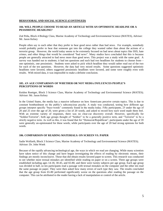### **BEHAVIORAL AND SOCIAL SCIENCE (CONTINUED)**

### **104. WILL PEOPLE CHOOSE TO READ AN ARTICLE WITH AN OPTIMISTIC HEADLINE OR A PESSIMISTIC HEADLINE?**

Zoë Peña, Block 4 Biology Class, Marine Academy of Technology and Environmental Science (MATES), Advisor: Mr. Jason Kelsey

People often say to each other that they prefer to hear good news rather than bad news. For example, somebody would probably prefer to hear that someone got into the college they wanted rather than about the actions of a terrorist group. However, the world today seems to be extremely focused on bad news about topics like ISIS, hate crimes, and other things that would be considered "bad news". Many studies have concluded that this is because people are generally attracted to bad news more than good news. This project was a study with the same goal. A survey was handed out to students; it had ten questions and each had two headlines for students to choose from one optimistic, one pessimistic. Students were asked to pick which headline they would rather read out of the two for each of the ten questions. However, the data had very mixed results. Some questions suggested optimistic headlines were favored, others suggested pessimistic headlines were favored, and some were roughly even with results. With mixed data, it was impossible to make a definite conclusion.

### **105. AN AGE COMPARISON OF WHETHER OR NOT MEDIA INFLUENCES PEOPLE'S PERCEPTIONS OF WORDS**

Keidon Roettger, Block 3 Science Class, Marine Academy of Technology and Environmental Science (MATES); Advisor: Mr. Jason Kelsey

In the United States, the media has a massive influence on how Americans perceive certain topics. This is due to constant bombardment on the public's subconscious psyche. A study was conducted, testing how different age groups interpret specific "buzz-words" commonly found in the media today. Fifty participants, 25 under the age of 20 and 25 over the age of 20, were given a list of 20 words, and asked to record how each word made them feel. With an extreme variety of responses, there was no clear-cut discovery overall. However, specifically for "Soldier/Terrorist", both age groups thought of "Soldier" to be a generally positive term, and "Terrorist" to be a strictly negative term. As well as this, it was found that for "Democrat/Republican", participants under the age of 20 were generally un-opinionated for these words, while participants over the age of 20 had strong opinions for both words.

### **106. COMPARISON OF READING MATERIALS: ON SCREEN VS. PAPER**

Sadie Wolfarth, Block 3 Science Class, Marine Academy of Technology and Environmental Science (MATES); Advisor: Dr. John Wnek

Because of the rapidly advancing technological age, the ways in which we read are changing. While many scientists have taken notice of this change and have begun investigating the effects of reading by electronic means, their findings are mostly inconclusive. Those that did obtain results favored paper to screen. This research was conducted to see whether more textual mistakes are identified while reading on paper or on a screen. Three age groups were established including ages 14-18, 30-45, and 65-80, and there were twenty subjects per age group. Each age group was divided in half, so ten participants read a passage with textual mistakes on the computer and the other ten read the same passage on paper. They were then asked how many errors of each type they saw. The results concluded that the age group from 65-80 performed significantly worse on the questions after reading the passage on the computer. This can be attributed to the reader having a lack of manipulation or control of the article.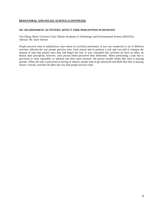### **BEHAVIORAL AND SOCIAL SCIENCE (CONTINUED)**

### **107. DO DIFFERENT ACTIVITIES AFFECT TIME PERCEPTION IN HUMANS?**

Tim Zheng, Block 4 Science Class, Marine Academy of Technology and Environmental Science (MATES), Advisor: Mr. Dave Werner

People perceive time in multifarious ways based on activities performed. A test was conducted to see if different activities affected the way people perceive time. Each person had to perform a task and was told to estimate the amount of time that passed since they had begun the task. It was concluded that activities do have an effect on human time perception; however, each person tested perceived time differently. When performing a task that is perceived as more enjoyable, or wherein one feels more pressure, the person usually thinks that time is passing quicker. When the task is perceived as boring or tedious, people tend to get distracted and think that time is passing slower. Overall, activities do affect the way that people perceive time.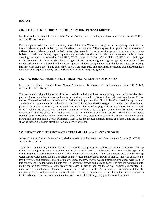### **BOTANY:**

### **201. EFFECT OF ELECTROMAGNETIC RADIATION ON PLANT GROWTH**

Matthew Anderson, Block 1 Science Class, Marine Academy of Technology and Environmental Science (MATES); Advisor: Dr. John Wnek

Electromagnetic radiation is used constantly in our daily lives. Where ever we go we are always exposed to several forms of electromagnetic radiation; does this affect living organisms? The purpose of this project was to discover if different forms of electromagnetic radiation affect plant growth. In the project four plants and a control plant were isolated in their own faraday cage to prevent any outside disturbances of other electromagnetic radiation from affecting the plants. A television ( $\approx$ 64MHz), Wi-Fi router (2.4GHz), infrared light ( $\approx$ 28THz) and black light (≈10PHz) were each placed inside a faraday cage with each plant along with a grow light. Over a period of one month each plant was subjected to the electromagnetic radiation being emitted from the device in its cage. During this time each plants growth and chlorophyll levels were measured. The experiment concluded that electromagnetic radiation when exposed directly has a negative affect towards the plants growth.

### **202. HOW DOES ACID RAIN AFFECT THE STOMATAL DENSITY OF PLANTS?**

Lily Brouder, Block 1 Science Class, Marine Academy of Technology and Environmental Science (MATES), Advisor: Mr. Jason Kelsey

The problem of acid precipitation and its effect on the botanical world has been plaguing scientists for decades. Acid precipitation occurs when airborne pollutants mix with atmospheric moisture to form rain that has a lower pH than normal. The goal behind my research was to find how acid precipitation affected plants' stomatal density. Stomata are the porous openings on the underside of a leaf used for carbon dioxide-oxygen exchanges. I had three pothos plants, each labeled A, B, or C, and watered them with solutions of varying acidities. I predicted that by the end, Plant A, which was watered with a neutral solution of distilled water (7.0 pH), would have the highest stomatal density, and Plant B, which was watered with a solution similar to acid rain (4.3 pH), would have the lowest stomatal density. However, Plant A's stomatal density was very close to that of Plant C, which was watered with a natural rain-like solution (5.3 pH). Ultimately, Plant C had the highest stomatal density and Plant B had the lowest, showing that acid rain does affect the stomatal density of plants.

### **203. EFFECTS OF DIFFERENT WATER TREATMENTS ON A PLANT'S GROWTH**

Allison Cameron, Block 4 Science Class, Marine Academy of Technology and Environmental Science (MATES), Advisor: Mr. Werner

Typically a common airy houseplant, such as umbrella trees (*Schefflera arboricola*), would be watered with tap water, but the tap water they are watered with may not be as pure as one believes. Tap water can be exposed to electromagnetic radiation from ultraviolet (UV) sources and microwaves. There was a debate as to whether the tap water used to water plants can have an effect on the vertical and horizontal growth of plants. A lab was conducted to test the vertical and horizontal growth of umbrella trees (*Schefflera arboricola*). Fifteen umbrella trees were used for this experiment. The tap watered plants showed increasing growth and a strong body. The distilled watered plants, unlike the original hypothesis, significantly decreased in growth and health. As was originally speculated, the microwaved watered plants ultimately decreased in growth and health. At the end, it was determined that the nutrients in the tap water caused those plants to grow, the lack of nutrients in the distilled water caused those plants to die and the deformed molecules in the microwaved water did not fully supply water to feed the plant.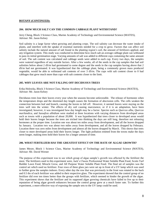### **BOTANY (CONTINUED):**

### **204. HOW MUCH SALT CAN THE COMMON CABBAGE PLANT WITHSTAND?**

Jerry Cheng, Block 3 Science Class, Marine Academy of Technology and Environmental Science (MATES), Advisor: Mr. Jason Kelsey

Soil salinity is a large factor when growing and planting crops. The soil salinity can decrease the water intake of plants, and interfere with the uptake of essential nutrients needed for a crop to grow. Factors that can affect soil salinity include the natural amount of salt found in the planting region's soil, the amount of fertilizers applied, and any irrigation system. This study was conducted to determine how much salt an average cabbage plant can withstand to pass its initial germination stage. Varying amounts of salt was added to different cups containing the same amount of soil. The salt content was calculated and cabbage seeds were added to each cup. Every two days, the samples were watered regardless of any outside factors. After a few weeks, all of the seeds in the cup samples that had soil salinities below about 2 dS/m had germinated to some degree and the seeds in the cup samples having above that 2 dS/m had not germinated. It was hypothesized that the cabbage plant, being a commonly grown mass produced vegetable, would be able to withstand salt contents of over 3 dS/m. The cups with salt content closer to 0 had cabbages that grew much more than cups with salt contents closer to the limit.

### **205. WHY LEAVES ARE NOT FALLING OFF DECIDUOUS TREES**

Erika Holowka, Block 3 Science Class, Marine Academy of Technology and Environmental Science (MATES), Advisor: Mr. Jason Kelsey

Deciduous trees lose their leaves every year when the seasons become unfavorable. The release of hormones when the temperature drops and the shortened day length causes the formation of abscission cells. The cells weaken the connection between leaf and branch, causing the leaves to fall off. However, it seemed leaves were staying on the trees well into the winter. The effects of dry soil causing marcesence, or if it is an adaptation, have been investigated; however, it was investigated how day length may be a factor. Species such as *Quercus alba, Quercus marilandica*, and *Sassafras albidium* were studied at three locations with varying distances from developed areas such as towns with a population of about 20,000. It was hypothesized that trees closer to developed areas would hold their leaves longer because the trees are tricked into thinking the days are still long, therefore not releasing hormones at the proper time. Location one was about ten miles away from development, and all the leaves dropped by January. Location two was about two miles away from development, and all the leaves dropped by February. Location three was zero miles from development and almost all the leaves dropped by March. This shows that trees closer to more developed areas hold their leaves longer. The light pollution emitted from the towns make the days seem longer, making trees hold their leaves for a longer amount of time.

### **206. WHAT FERTILIZER HAS THE GREATEST EFFECT ON THE RATE OF ALGAE GROWTH?**

James Meyer, Block 1 Science Class, Marine Academy of Technology and Environmental Science (MATES), Advisor: Mr. David Werner

The purpose of this experiment was to see which group of algae sample's growth was affected by the fertilizer the most. The fertilizers used in this experiment were, Jack's Classic Professional Water Soluble Plant Food, Scotts Turf Builder Lawn Food, Miracle Grow, and All Purpose Water Soluble Plant Food. The final set of samples was the control set which used no fertilizer. Four rows of three glass jars were set up in front of a UV lamp which was used to further grow the samples indoors. Every other day the row that was previously in the front was rotated to the back and 0.5 tbs of each fertilizer was added to their respective glass. The experiment showed that the control group of no fertilizer did over ten times better than the groups with fertilizer, which seemed to hinder the growth of the algae. This experiment shows that the fertilizer and its supposed algae growing chemicals have failed to live up to their reputation of being algae growth enhancers because the control group grew at a much faster rate. To further this experiment, a more effective way of exposing the sample sets to the UV lamp could be used.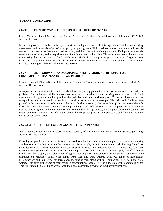### **BOTANY (CONTINUED):**

### **207. THE EFFECT OF WATER PURITY ON THE GROWTH OF PLANTS**

Carter Mishura, Block 1 Science Class, Marine Academy of Technology and Environmental Science (MATES), Advisor: Mr. Werner

In order to grow successfully, plants require nutrients, sunlight, and water. In this experiment, distilled water and tap water were used to test the effect of water purity on plant growth. Eight marigold plants were monitored over the course of four weeks, half receiving distilled water, and the other half receiving tap water. Each plant received the same amount of water, and an equal amount of sunlight to each other plant. The experiment found that each day, when taking the average of each plant's height, every single time the tap water plants had grown larger, or were larger, than the plants watered with distilled water. It can be concluded that the lack of nutrients in the water were a key factor in the growth disparity between the two sets.

### **208. ARE PLANTS GROWN IN AN AQUAPONICS SYSTEM MORE NUTRITIONAL FOR CONSUMPTION THAN PLANTS GROWN IN SOILS?**

Logan O'Donnell, Block 3 Science Class, Marine Academy of Technology and Environmental Science (MATES), Advisor: Dr. John Wnek

Aquaponics is not a new practice, but recently it has been gaining popularity in the eyes of many farmers and even gardeners. By combining both fish and radishes in a symbiotic relationship, and growing more radishes in soil, I will determine which growing method provides the healthiest and most nutritious plant. To do this, I set up my own aquaponic system, using goldfish bought at a local pet store, and a separate pot filled with soil. Radishes were planted at the same time in both setups. When they finished growing, I harvested both plants and tested them for chlorophyll content, vitamin c content, average plant height, and leaf size. With testing complete, the results showed that the radishes grown in the aquaponic system were taller, had larger leaves, had a higher chlorophyll content, and contained more vitamin c. This information shows that the plants grown in aquaponics are both healthier and more nutritious for consumption.

### **209. WHAT ARE THE EFFECTS OF XENOBIOTICS ON PLANTS?**

Alaina Pobok, Block 4 Science Class, Marine Academy of Technology and Environmental Science (MATES), Advisor: Mr. Jason Kelsey

Everyday people do not properly dispose of unused xenobiotics, such as acetaminophen and ibuprofen, causing xenobiotics to make their way into the environment. For example, throwing them in the trash, flushing them down the toilet, or washing them down the drain can cause them to get into undesired locations. Xenobiotics can cause damage to ecosystems and can get into the water supply. These medications in the water supply can affect human health. For this project, the color ratios of typical house plants, Philodendron (*Philodendron scandens),* were examined on Microsoft Paint. Nine plants were used and were watered with two types of xenobioticsacetaminophen and ibuprofen, with three concentrations of each, along with just regular tap water. All plants were watered with forty milligrams of their assigned concentrations once a week in a location with moderate sunlight. This experiment had lasted nine weeks, with the plants constantly growing, without any implications.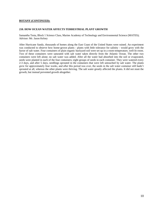### **BOTANY (CONTINUED):**

### **210. HOW OCEAN WATER AFFECTS TERRESTRIAL PLANT GROWTH**

Samantha Testa, Block 1 Science Class, Marine Academy of Technology and Environmental Science (MATES); Advisor: Mr. Jason Kelsey

After Hurricane Sandy, thousands of homes along the East Coast of the United States were ruined. An experiment was conducted to observe how home-grown plants - plants with little tolerance for salinity - would grow with the factor of salt water. Four containers of plain organic backyard soil were set up in a room-temperature, well-lit room. Two of these containers were saturated with salt water taken directly from the Atlantic Ocean. The other two containers were left alone; no salt water was added. After all the water had absorbed into the soil or evaporated, seeds were planted in each of the four containers; eight groups of seeds in each container. They were watered every 2-3 days, and after 5 days, seedlings sprouted in the containers that were left untouched by salt water. The plants grew for approximately four weeks, and after this period was over, the seeds in the salt water container still hadn't sprouted at all, whereas the other plants were thriving. The salt water greatly affected the plants. It did not stunt the growth, but instead prevented growth altogether.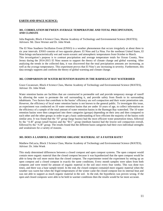### **EARTH AND SPACE SCIENCE:**

### **301. CORRELATION BETWEEN AVERAGE TEMPERATURE AND TOTAL PRECIPITATION, AND CLIMATE**

Julia Baginski, Block 4 Science Class, Marine Academy of Technology and Environmental Science (MATES); Advisors: Mr. Dave Werner and Dr. John Wnek

The El Nino Southern Oscillation Event (ENSO) is a weather phenomenon that occurs irregularly at about three to six year intervals. ENSO consists of two opposite phases: El Nino and La Nina. For the northeast United States, El Nino brings uncharacteristically wet and warm oceanic and atmospheric temperatures from October to March. This investigation's purpose is to contrast precipitation and average temperature totals for Ocean County, New Jersey during the 2014-2015 El Nino season to support the theory of climate change and global warming. After analyzing the trends in the collected data, it was discovered that the total precipitation amounts are increasing, as well as the average temperatures. This experiment proves that El Nino's are increasing in severity. Furthermore, this data strongly supports and confirms the theory of global warming and climate change.

### **302. COMPARISON OF WATER RETENTION BASINS IN THE BARNEGAT BAY WATERSHED**

Grace Cocanower, Block 4 Science Class, Marine Academy of Technology and Environmental Science (MATES), Advisor: Dr. John Wnek

Water retention basins are facilities that are constructed in permeable soil and provide temporary storage of runoff by allowing the water to permeate the soil surrounding it, and provide safety from floods to its surrounding inhabitants. Two factors that contribute to the basins' efficiency are soil compaction and their water penetration rate. However, the efficiency of local water retention basins is not known to the general public. To investigate this issue, an experiment was conducted on 10 water retention basins that are under 10 years of age, to collect information on the efficiency of a sample of the total amount of water retention basins in the Barnegat Bay watershed. The 10 water retention basins were then categorized into three categories (groups) depending on their area and then compared to each other and the other groups in order to get a basic understanding of how efficient the majority of the basins with similar area. It was found that the "D" group (large basins) had the most efficient water penetration times, followed by the "A-B" group (small basins) and the "B-C" group (medium basins) had the lowest soil compaction overall, followed by the "A-B" group. The results found that the different basin categories had their own individual strengths and weaknesses for a variety of reasons.

### **303. DOES A LANDFILL DECOMPOSE ORGANIC MATERIAL AT A FASTER RATE?**

Matthew DeLucia, Block 3 Science Class, Marine Academy of Technology and Environmental Science (MATES), Advisor: Dr. John Wnek

This study determined differences between a closed compost and open compost systems. The open compost would contain more organic material than the closed compost because it was hypothesized that the open compost would be able to keep the soil more moist than the closed compost. The experimenter tested the experiment by setting up an open compost and a closed compost in exactly the same conditions. Every month samples were taken from both composts and were tested for amount of organic material in the soil once every four weeks. This was done two times, and there was a base sample tested. In the end, the closed compost contained more organic material when the weather was warm but when the frigid temperatures of the winter came the closed compost lost its internal heat and was not able to support as much organic material in the soil. In the end, the hypothesis was proven wrong. If the open and closed composts were able to be held in warmer conditions then the results would be far more accurate.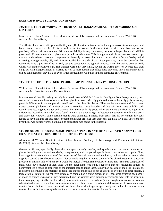### **EARTH AND SPACE SCIENCE (CONTINUED):**

### **304. THE EFFECT OF WORMS ON THE pH AND NITROGEN AVAILABILITY OF VARIOUS SOIL MIXTURES**

Max Gorlach, Block 3 Science Class, Marine Academy of Technology and Environmental Science (MATES); Advisor: Mr. Jason Kesley

The effects of worms on nitrogen availability and pH of various mixtures of soil and peat moss, straw, compost, and horse manure, as well as the effects the soil has on the worm's health were tested to determine how worms can positively affect their environment. Nitrogen availability is very important, because it helps plants and wildlife grow, and pH determines which plants can grow in certain areas. This is huge in agriculture, because many crops that are produced need these two components to be ready to harvest for human consumption. After the 30 day period of testing average weight, pH, and nitrogen availability in each of the 12 sample bins, it can be concluded that worms do have a positive effect on soil, but this varies with the type of mixture. Also, the worms grew as well, which was another positive sign. The changes were only very small, having the worms grow on average less than 0.5 g, but with a larger amount of worms, as well as more factors that affect these processes in real environments, it can be concluded that they have an even larger impact in the wild than in these controlled environments.

### **305. EFFECTS OF DIFFERENCES IN SOIL COMPONENTS ON LILY PAD DISTRIBUTION**

Will Levorse, Block 4 Science Class, Marine Academy of Technology and Environmental Science (MATES); Advisors: Mr. Dave Werner and Dr. John Wnek

It was observed that lily pads grow only in a certain area of Oakford Lake in New Egypt, New Jersey. A study was conducted to examine three aspects of soil samples from areas with lily pads and areas without lily pads to see any possible differences in the samples that could lead to the plant distribution. The samples were examined for organic matter content, pH levels and number of bacteria colonies. It was hypothesized that soils from areas with lily pads would have less organic matter and bacteria than those with lily pads. After examining the data, no significant differences (according to p value) were found in any of the three categories between the samples from lily pad areas and those not. However, some possible trends were examined. Samples from areas that did not contain lily pads tended to have a higher organic matter content and higher pH level than those that did have lily pads. Therefore, the hypothesis was partially proven although no correlation was found in the bacteria.

### **306. DO GEOMETRIC SHAPES AND SPIRALS APPEAR IN NATURE AS EVOLVED ADAPTATIONS OR AS THE STRUCTURAL RESULT OF OTHER FACTORS?**

Alexander McWeeney, Block 4 Science Class, Marine Academy of Technology and Environmental Science (MATES), Advisor: Mr. Jason Kelsey

Geometric Shapes, specifically those that are approximately regular, and spirals appear in nature in numerous places, including certain mollusk shells, honey combs, and compound eyes in insects and other arthropods. Now, have organisms taken advantage of the properties of these shapes through evolution, or have other aspects of the organism caused these shapes to appear? For example, regular hexagons can easily be placed together in a way to produce an infinite field of them, so it would be logical if organisms evolved to make flat structures composed of many units have hexagon shaped units. On the other hand, one study suggested that the hexagonal pattern of honeycombs is a result of properties of the material used to make them, rather than because of the bees' intentions. In order to determine if the majority of geometric shapes and spirals occur as a result of evolution or other factors, a large group of samples was collected where each sample had a shape present in it. Then, what structure each shape or group of shapes was a part of was determined, and the samples were grouped according to what role the shapes in them were playing. Finally, this knowledge was used to do more research to gather enough information to make an educated judgment as to whether each shape or group of shapes appeared where it did as a result of evolution or as a result of other factors. It was concluded that these shapes don't appear specifically as results of evolution or as results of other factors; also, spirals had the most occurrences as the results of other factors.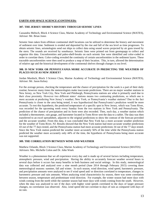### **EARTH AND SPACE SCIENCE (CONTINUED):**

### **307. THE JERSEY SHORE'S HISTORY THROUGH SEISMIC LINES**

Cassandra Meltsch, Block 4 Science Class, Marine Academy of Technology and Environmental Science (MATES), Advisor: Mr. Brian Jones

Seismic lines taken from offshore continental shelf locations can be utilized to determine the history and movement of sediment over time. Sediment is eroded and deposited by the rise and fall of the sea level as time progresses. To obtain seismic lines, seismologists send out ships to collect data using sound waves projected by air guns towed by the stern. The sounds are received by sonobuoys. Seismic lines were printed out from geomapapp to collect and organize this data. Unconformities and paleo-shelf-breaks on each seismic line were identified and color-coded in order to correlate them. Color-coding revealed the continuity of certain unconformities in the sediment layers. These traceable unconformities were then used to produce a map of their location. This, in turn, allowed the determination of relative age and the historical development of the continental shelves through changes in sea level.

### **308. IS NEW YORK OR PENNSYLVANIA MORE ACCURATE IN PREDICTING THE WEATHER OF PLACES SUCH AS NEW JERSEY?**

Jordan Murdock, Block 3 Science Class, Marine Academy of Technology and Environmental Science (MATES), Advisor: Mr. Jason Kelsey

For the average person, checking the temperature and the chance of precipitation for the week is a part of their daily routine; however many times the meteorologists make inaccurate predictions. There are no major weather stations in New Jersey, so New York City, New York and Pittsburgh, Pennsylvania stations are what is primarily used due to their close proximity. However two different states' stations means two contrasting predictions, so which one is more accurate at predicting New Jersey's weather; New York, or Pennsylvania's weather stations? Due to the fact Pennsylvania is closer to the area being tested, it was hypothesized that Pennsylvania's prediction would be more accurate. To test this hypothesis, the predicted temperature of a specific spot in New Jersey, which was Toms River, was recorded for the upcoming week every Sunday from the two stations in New York and Pennsylvania. The prediction of the chance of precipitation and its form were also recorded. Then, each day, a weather station which included a thermometer, rain gauge, and barometer located in Toms River sent the data to a tablet. The data was then transferred to an excel spreadsheet, adjacent to the original predictions to show the contrast of the forecast provided and the accurate weather. From this data, it was concluded that New York has a more accurate weather prediction for the weather of Toms River, NJ. Results showed that the New York station had more accurate weather predictions 43 out of the 77 days tested, and the Pennsylvania station had more accurate predictions 34 out of the 77 days tested. Since the New York station predicted the weather more accurately 56% of the time while the Pennsylvania station predicted the weather more accurately only 44% of the time, the hypothesis of Pennsylvania being more accurate was not supported.

### **309. THE CORRELATION BETWEEN WIND AND WEATHER**

Matthew Orlando, Block 3 Science Class, Marine Academy of Technology and Environmental Science (MATES) Advisors: Mrs. Michelle Colon and Dr. John Wnek

Weather is a phenomenon that we all experience every day and is made up of several factors including temperature, atmospheric pressure, wind and precipitation. Having the ability to accurately forecast weather several hours to several days before it occurs has many benefits in both business and social settings. In this study, meteorological data was collected and analyzed over a nine month period (June 2014 through February 2015) covering three meteorological seasons: summer, fall and winter. In each season, wind direction, wind speed, barometric pressure, and precipitation amounts were analyzed to see if wind speed and/ or direction correlated to temperature, changes in barometric pressure and rain amounts. When analyzing wind characteristics by season, there was some correlation between season, temperature and predominant wind direction. For example, the winter season had more days with winds coming from the north while the summer season had more days with winds coming from the south. However, when the data was analyzed to see if the days with higher wind speeds correlated to the days of larger pressure changes, no correlation was observed. Also, wind speed did not correlate to days of rain as compared with days of no rain.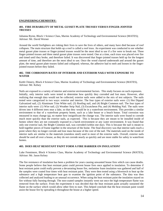### **ENGINEERING/CHEMISTRY:**

### **401. FIRE DURABILITY OF METAL GUSSET PLATE TRUSSES VERSUS FINGER-JOINTED TRUSSES**

Julianna Byrne, Block 1 Science Class, Marine Academy of Technology and Environmental Science (MATES); Advisor: Mr. David Werner

Around the world firefighters are risking their lives to save the lives of others, and many have died because of roof collapses. The main structure that holds up a roof is called a roof truss. An experiment was conducted to see whether metal gusset plate trusses or finger-jointed trusses would be the most ideal to use if a fire were to break out. Three finger-jointed trusses and three metal gusset plate trusses were tested. One at a time, each truss was placed over fire and timed until they broke, and therefore failed. It was discovered that finger-jointed trusses held up for the longest amount of time, and therefore are the most ideal to use. Once the wood charred underneath and around the gusset plate, the metal gusset plate trusses failed and collapsed; whereas, the adhesive had to melt and loosen in the fingerjointed trusses before they failed.

### **402. THE CORROSION RATES OF INTERIOR AND EXTERIOR NAILS WITH EXPOSURE TO WATER**

Keith Chinery, Block 4 Science Class, Marine Academy of Technology and Environmental Science (MATES), Advisor: Mr. Kelsey

Nails are exposed to a variety of interior and exterior environmental factors. This study focuses on such exposures. Initially, only interior nails were tested to determine how quickly they corroded and lost mass. However, after realizing that enough data would not be collected, exterior nails were added to the mix of test subjects. The nails tested were categorized in two ways: exterior and interior. The four types of exterior nails were: (1) Hot Dipped Galvanized nail, (2) Aluminum Trim White nail, (3) Roofing nail, and (4) Bright Common nail. The four types of interior nails were: (1) Wire nail, (2) Weather Strip Nail, (3) Escutcheon Pin, and (4) Molding Nail. The nails were driven into 4 different trees near a lake, so that they would be in a waterfront environment. This provides a similar environment to that of a waterfront property home, such as a lake house or a beach house. Total corrosion was measured in mass change (g), no matter how insignificant the change was. The interior nails were found to corrode much more quickly than the exterior nails, as expected. This is because they are meant to be installed inside of homes where they are not constantly exposed to a harsh environment or any water environment. It was found that only one exterior nail, the Bright Common nail, was corroded (within one day). This is because the nail is meant to hold together pieces of frame together in the structure of the home. The final discovery was that interior nails reach a point where they no longer corrode and lose mass because of the core of the nail. The materials used on the inside of interior nails are similar to the materials (stainless steel) used in most of the exterior nails. Overall, exterior nails should be used all over a house, as they do not corrode nearly as quickly and are more stable for safety in waterfront homes.

### **403. DOES HEAT RESISTANT PAINT FORM A FIRE BARRIER ON INSULATION?**

Luke Fennimore, Block 4 Science Class, Marine Academy of Technology and Environmental Science (MATES), Advisor: Mr. Jason Kelsey

The fire resistance of insulation has been a problem for years causing unwanted house fires which can cause deaths. Some people believe that heat resistant paint could prevent house fires once applied to insulation. To determine if heat resistant paint could really prevent a devastating house fire, melamine foam insulation was gathered and half of the samples were coated four times with heat resistant paint. They were then tested using a blowtorch to heat up the substance and a high temperature heat gun to examine the ignition point of the substance. The data was then collected and analyzed leading to an unusual occurrence. When using the heat resistant paint the insulation stayed on fire without fully burning through. The non-coated samples instantly went out once the high temperature flame was removed from the surface. From the experiment it was decided that the heat resistant paint actually sustained the flame on the surface which would allow other fires to start. This helped conclude that the heat resistant paint would assist the house fire by spreading it throughout the house at a higher speed.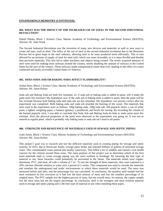### **ENGINEERING/CHEMISTRY (CONTINUED):**

### **404. WHAT WAS THE IMPACT OF THE INCREASED USE OF STEEL IN THE SECOND INDUSTRIAL REVOLUTION?**

Daniel Pekata, Block 1 Science Class, Marine Academy of Technology and Environmental Science (MATES), Advisor: Dr. John Wnek

The Second Industrial Revolution saw the invention of many new devices and materials as well as new ways to create old ones, such as steel. The influx of the use of steel in the second industrial revolution due to the Bessemer Process led to great leaps in the steel industry, allowing steel to be mass produced more efficiently. This in turn allowed for an increase of supply of steel for steel rails, which was more favorable, as it is more flexible and durable than previous materials. This also led to other machines and objects being created. The newly acquired amounts of steel were used for making more railways around the country, nearly doubling the amount of railways in the United States by the turn of the century. These railways made transportation easier than ever, leading to the effect of a more connected and easily accessible United States of America.

### **405. DOES SODA ASH OR BAKING SODA AFFECT FLAMMABILITY?**

Joshua Ross, Block 1 Science Class, Marine Academy of Technology and Environmental Science (MATES); Advisor: Mr. Jason Kelsey

Soda ash and Baking Soda are both fire retardant, so: if soda ash or baking soda is added to paint, will it make the paint more fire resistant? My hypothesis was: If the soda ash or baking soda is added to paint, then the paint will be fire resistant because both baking soda and soda ash are fire retardant. My hypothesis was proven correct after my experiment was completed. Both baking soda and soda ash retarded the burning of the wood. The materials that were used in the experiment were as follows: 100g baking soda, 100g soda ash, 100 popsicle sticks, a can of white paint, a lighter, weighing paper, a balance (grams), a paintbrush, and bowls for mixing. By recording the volume of the burned popsicle stick, I was able to conclude that Soda Ash and Baking Soda do help to make paint more fire resistant. Also, the physical properties of the paint were observed as the experiment was going on. It was not as smooth as regular paint, which is probably why baking soda or soda ash isn't used in all paints.

### **406. STRENGTH AND RESISTANCE OF MATERIALS USED IN SEWAGE AND SEPTIC PIPING**

Gabe Zonin, Block 1 Science Class, Marine Academy of Technology and Environmental Science (MATES) Advisor: Mr. Jason Kelsey

This project's goal was to research and test the different materials used in creating piping for sewage and septic systems. In 2012, due to Hurricane Sandy, sewage pipes broke and released billions of gallons of untreated sewage water. This contaminated water poured into nearby waterways. This killed a lot of wildlife and caused a true health concern for the citizens around these areas. The main purpose of this project was to determine which of the four main materials used to create sewage piping was the most resilient to breakage. By knowing the best type of material to use, these breaches could potentially be prevented in the future. The materials tested were copper, aluminum, PVC, and steel, all with a volume of  $1 \text{ in}^3$ . To test the strength of these materials, they were exposed to a 20% calcium chloride solution in water over a period of 2 weeks. This compound was used to corrode the materials and simulate the underground and acidic environments in which these materials would be used. The mass was measured before and after, and the percentage lost was calculated. In conclusion, the stainless steel sample had the most resistance to this corrosion as it had lost the least amount of mass and lost the smallest percentage of its original mass. The PVC sample lost the highest percent of mass, but not overall mass. In contrast, the copper sample lost the most mass but not the largest percentage. In conclusion, steel is the strongest and most resilient material used in sewage and septic piping and is the best type of material to use when installing these pipes.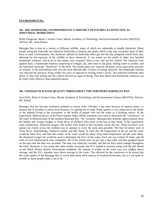### **ENVIRONMENTAL:**

### **501. ARE HOMEMADE, ENVIRONMENTALY FRIENDLY PESTICIDES AS EFFECTIVE AS INDUSTRIAL HERBICIDES?**

Reilly Fitzgerald, Block 1 Science Class, Marine Academy of Technology and Environmental Science (MATES), Advisor: Mr. Jason Kelsey

Barnegat Bay is host to a variety of different wildlife, many of which are vulnerable to deadly chemicals. Many people along the waterside use industrial herbicides to destroy any plants which creep into unwanted areas of their lawn or yard. Unfortunately, the chemicals utilized by herbicides often get into the bay alongside runoff from rain, allowing for the exposure of the wildlife to these chemicals. It was tested see the yields of other, less harmful homemade solutions, and to do so four plants were acquired, three to test, and one for control. The solutions were applied daily: a homemade solution comprising of vinegar, salt, and water to one plant, boiling water to another, and the Industrial herbicide "DuraZone" to the third. The fourth plant was watered, all plants given equivalent amounts of solution. In the end boiling water was the most affected after 14 days of testing; however, the homemade solution was affected the quickest, dying within five days as opposed to boiling water's seven. The industrial herbicide died about 12 days into testing and the control showed no signs of dying. This data shows that homemade solutions can be vastly more effective than industrial means.

### **502. CHANGES IN WATER QUALITY THROUGHOUT THE NORTHERN BARNEGAT BAY**

Jack Kelly, Block 4 Science Class, Marine Academy of Technology and Environmental Science (MATES), Advisor: Mr. Kelsey

Barnegat Bay has become extremely polluted in recent years. Whether it has been because of natural causes, or reasons due to mistakes or abuse from humans, it is getting out of hand. Water quality is very important to the health of the animals living in the ecosystem, or the health of people who use the water as a drinking source. In the experiment, different pieces of the Water Quality Index (WQI) standards were used to determine the "cleanliness" of the water in different parts of the northern Barnegat Bay. The "northern" Barnegat Bay stretches approximately from the Mathis and Tunney bridges in Toms River to northern most point of the bay in Bay Head. In the experiment, water temperature, dissolved oxygen, and acidity were tested at four locations across the bay. These locations were spread out evenly across the northern bay in attempt to cover the most area possible. The four locations were in Toms River, Mantoloking, Chadwick Island, and Bay Head. At each site, the temperature of the air and the water would be taken first, and then the acidity of the water would be taken. Once both temperature and pH were taken, the dissolved oxygen kit would be used to determine the D.O. of the water. Each site was visited 10 times, and 38 trials of each measurement were completed. All of the results were all put into a data table and then graphed based on the days that the data was recorded. The data was relatively variable, and did not have much change throughout the trials. However, it was noted that when acidity increased, the D.O. tended to increase along with the pH. Based on the WQA (Water Quality Association) standards, the amount of acidity in the water was very slightly above average, and the D.O. amounts were above average in the water. This allowed for the conclusion to be drawn that the water quality of the Barnegat Bay is worse than many other sources of brackish/freshwater, but it is not quite as terrible as many people make it out to be.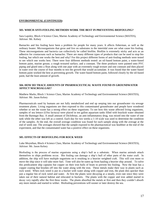### **ENVIRONMENTAL (CONTINUED):**

### **503. WHICH ANTI-FOULING METHODS WORK THE BEST IN PREVENTING BIOFOULING?**

Sara Lapsley, Block 4 Science Class, Marine Academy of Technology and Environmental Science (MATES), Advisor: Mr. Kelsey

Barnacles and bio fouling have been a problem for people for many years. It affects fisherman, as well as the ordinary boater. Microorganisms that grow and live on substrates in the intertidal zone are what cause bio fouling. These microorganisms and bacteria can collectively be called biofilm. Biofilm is extremely sticky and acts as an adhesive for crustaceans such as barnacles. There are many different types of products that can be used to stop bio fouling, but which one works the best and why? For this project different forms of anti-fouling methods were tested to see which one works best. There were four different methods tested: an oil-based bottom paint, a water-based bottom paint, marine grease, a rough textured surface, and a constant. The three products were painted onto PVC piping and glued onto a float along with one pipe with an extremely rough texture and one constant and then placed in water over the course of four months to test the growth that would accumulate. It was found that the water-based bottom paint worked the best at preventing growth. The water-based bottom paint, followed closely by the oil-based paint, had the least amount of growth.

### **504. HOW DO TRACE AMOUNTS OF PHARMACEUTICAL WASTE FOUND IN GROUNDWATER AFFECT MACROALGAE?**

Matthew Marks, Block 1 Science Class, Marine Academy of Technology and Environmental Science (MATES), Advisor: Mr. Jason Kelsey

Pharmaceuticals used by humans are not fully metabolized and end up seeping into our groundwater via sewage treatment plants. Living organisms are then exposed to this contaminated groundwater and people have wondered whether or not the waste has a strong effect on these organisms. To see how this waste affected living organisms, samples of sea lettuce (*Ulva lactuca)* were placed in ten gallon aquarium tanks filled with brackish water obtained from the Barnegat Bay. A small amount of Diclofenac, an anti-inflammatory drug, was mixed into the water of one tank while the other was left as a control. Each day for two weeks a 1-10 scale was used to determine the condition of the samples. At the end, the overall average condition was found for each sample along with the average at the end of week one. The averages showed that the sample exposed to the pharmaceutical was healthier at the end of the experiment, and that the contaminated water has a positive effect on these organisms.

### **505. EFFECTS OF BIOFOULING FOR ROCK WEED**

Luke Moynihan, Block 4 Science Class, Marine Academy of Technology and Environmental Science (MATES), Advisor: Mr. Jason Kelsey

Biofouling is the process of marine organisms using a ship's hull as a substrate. When marine animals attach themselves to ships problems occur. Bio fouling can damage a ship's hull of other parts of the water craft. In addition, the ship will have multiple organisms on it resulting in a heavier weighted craft. This will cost more to move the ship since it will take more fuel. Time will also be eaten up from hauling a heavier ship around. To solve this predicament ship captains but copper on their iron hulls of boats to prevent bio fouling. Now the boat has a copper coating that brushes off into the water along with the iron. These metals make their way in plants such as rock weed. When rock weed is put in a bucket with water along with copper and iron, the plant dies quicker than just a regular bin of rock weed and water. At first the plants were decaying at a steady, even rate since they were taken out of their natural habitat and relocated in buckets. The plants with the copper and iron added started to decay very rapidly after the first three weeks. The plants absorbed the metals at first and then they couldn't absorb any more metals and started to wither. Biofouling preventions will sooner or later destroy the sea.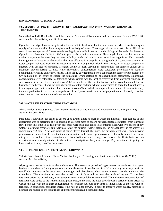### **ENVIRONMENTAL (CONTINUED):**

### **506. MANIPULATING THE GROWTH OF CYANOBACTERIA USING VARIOUS CHEMICAL TREATMENTS**

Samantha Orndorff, Block 4 Science Class, Marine Academy of Technology and Environmental Science (MATES); Advisors: Mr. Jason Kelsey and Dr. John Wnek

Cyanobacterial algal blooms are primarily formed within freshwater habitats and estuaries when there is a surplus supply of nutrients within the atmosphere and the body of water. These algal blooms are particularly difficult to control because species of Cyanobacteria are highly adaptable in terms of their biological demands. For instance, Cyanobacteria have the ability to "fix" nitrogen levels in their environment. These algal blooms are detrimental to marine ecosystems because they increase turbidity levels and are harmful to various organisms. This research investigation analyzes what chemical is the most effective in manipulating the growth of Cyanobacteria found in water samples collected from the Barnegat Bay Inlet in Long Beach Island, New Jersey. Each water sample was injected with dosages of randomly assigned chemicals each varying in composition; the samples underwent a treatment process lasting 22 days while chlorophyll concentrations were calculated periodically to regulate population growth and chlorophyll health. When the 22 day treatment period concluded the samples were exposed to UV radiation in an effort to coerce the remaining Cyanobacteria to photosynthesize; afterwards, chlorophyll concentrations were calculated to determine which sample was the best at recovering from chemical exposure. It was hypothesized that the chemical *GreentoClean* would be the most effective in the overall manipulation of Cyanobacteria because it was the only chemical to contain sodium, which was predicted to force the Cyanobacteria to undergo a hypertonic reaction.. The chemical *GrrentoClean* which was injected into Sample 1, was statistically the most productive in the overall manipulation of the Cyanobacteria in terms of population and chlorophyll decline after chemical treatment and ultraviolent radiation.

### **507. WATER FILTRATION USING PEAT MOSS**

Alaina Perdon, Block 3 Science Class, Marine Academy of Technology and Environmental Science (MATES), Advisor: Dr. John Wnek

Peat moss is known for its ability to absorb up to twenty times its mass in water and nutrients. The purpose of this experiment was to determine if it is possible to use peat moss to absorb nitrogen (tested as nitrates) from Barnegat Bay. To test this, little floats filled with peat moss were built, and added to a container filled with five gallons of bay water. Colorimeter tests were run every day to test the nutrient levels. Originally, the nitrogen level in the water was approximately 2 ppm. After one week of being filtered through the moss, the nitrogen level was 0 ppm, proving peat moss can be used to filter contaminants from water. In the future, peat moss can realistically be used to remove nitrogen – as well as other contaminants – from bodies of water. Larger versions of the floats built for this experiment can be easily attached to the bottom of navigational buoys in Barnegat Bay, or attached to pilings in local marinas to stop runoff at the source.

### **508. DO FERTILIZERS AFFECT ALGAL GROWTH?**

Valeria Perez, Block 1 Science Class, Marine Academy of Technology and Environmental Science (MATES) Advisor: Mr. Jason Kelsey

Algae growth can be harmful to the environment. The excessive growth of algae causes the depletion of oxygen, leading to the death of many organisms and the decrease of populations. In a lake, and any waterway, fertilizer runoff adds nutrients to the water, such as nitrogen and phosphorus, which when in excess, are detrimental to the water body. These nutrients increase the growth rate of algae and decrease the levels of oxygen. To see how fertilizers affect the growth rate, water samples from a nearby lake were collected. Then, different concentrations of fertilizers were added to the water samples, put in cups, to measure the algae growth over a period of time. After six weeks, the cup with the highest concentration of fertilizer had over four times as much algae as the cup with no fertilizer. In conclusion, fertilizers increase the rate of algal growth. In order to improve water quality, methods to decrease the release of excess nitrogen and phosphorus should be implemented.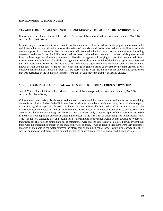### **ENVIRONMENTAL (CONTINUED):**

### **509. WHICH DEICING AGENT HAS THE LEAST NEGATIVE IMPACT ON THE ENVIRONMENT?**

Danny Schreiber, Block 1 Science Class, Marine Academy of Technology and Environmental Science (MATES) Advisor: Mr. David Werner

In colder regions accustomed to winter months with an abundance of snow and ice, deicing agents such as road salts and brine solutions are utilized to ensure the safety of motorists and pedestrians. With the application of such deicing agents, it is inevitable that the solutions will eventually be introduced to the environment, impacting vegetation and other forms of wildlife. An experiment was conducted to assess which common deicing agent would have the least negative influence on vegetation. Five deicing agents with varying compositions were tested. Seeds were watered with solutions of each deicing agent and ice to determine which of the deicing agent was safest and thus enhanced plant growth. It was discovered that the deicing agent containing methyl alcohol and denatonium, known as Rain-X® De-Icer™, had the least effect on the vegetation tested as evident by the plant growth. It was observed that the minimal impact of Rain-X<sup>®</sup> De-Icer<sup>™</sup> is due to the fact that it was the only deicing agent tested that was purchased in the liquid state, and therefore the salt content of the agent was already diluted.

### **510. CHLORAMINES IN MUNICIPAL WATER SOURCES OF OCEAN COUNTY TOWNSHIP**

Joseph Yates, Block 3 Science Class, Marine Academy of Technology and Environmental Science (MATES), Advisor: Mr. Jason Kelsey

Chloramines are secondary disinfectants used in treating many municipal water sources and are formed when adding ammonia to chlorine. Although the EPA considers this disinfectant to be virtually unarming, there have been reports of respiratory, skin, eye, and digestive problems in areas where chloriminated drinking waters are used. An experiment was conducted to find out if chloramines were present in municipal water sources and to see if the amount of chloramines was enough to adversely affect the human body. Another aspect of the experiment was to see if there was a buildup in the amount of chloramines present in the first flush of water compared to the second flush. This was done by collecting first and second flush water samples from various Ocean County townships. Water was then tested for chloride and ammonia to see if chloramines were present. Once data was collected, it was evident that there were no chloramines present in the municipal water sources. It was concluded that there were very miniscule amounts of ammonia in the water sources; therefore, few chloramines could form. Results also showed that there was not an increase or decrease in the amount of chloride or ammonia in the first and second flushes of water.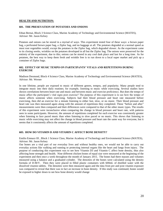### **HEALTH AND NUTRITION:**

### **601. THE PRESEVATION OF POTATOES AND ONIONS**

Ethan Bernai, Block 3 Science Class, Marine Academy of Technology and Environmental Science (MATES), Advisor: Mr. Jason Kelsey

Potatoes and onions can be stored in a myriad of ways. This experiment tested four of these ways: a brown paper bag, a perforated brown paper bag, a Ziploc bag, and no baggage at all. The potatoes degraded at a normal speed as most root vegetables would, except the potatoes in the Ziploc bag, which degraded slower. As the experiment came to its closing weeks, wrinkles on the potatoes developed in all but the Ziploc bag. The onions were preserved for the entirety of the experiment, due to this; onions can be stored in any cool dark place and last for a long time. As for potatoes, the best way to keep them fresh and wrinkle free is to run down to a local super market and pick up a container of Ziploc bags.

### **602. EFFECT OF MUSIC TEMPO ON PARTICIPANTS' VITALS AND REPETITIONS DURING EXERCISE**

Madison Desmond, Block 4 Science Class, Marine Academy of Technology and Environmental Science (MATES), Advisor: Mr. Werner

In one lifetime, people are exposed to music of different genres, tempos, and popularity. Many people tend to integrate music into their daily routines; for example, listening to music while exercising. Several studies have shown correlations between heart rate and music and between music and exercise proficiency. But does the tempo of music affect the participant's vital signs post exercise? The purpose of this experiment is to see how the tempo of music affects someone when exercising. Subjects had their blood pressure and heart rate measured before exercising, then did an exercise for a minute listening to either fast, slow, or no music. Their blood pressure and heart rate was then measured again along with the amount of repetitions they completed. These "before and after" measurements were then compared and their differences were compared to that of the other music types. The results of this experiment were inconclusive when comparing the change in blood pressure and heart rate, with patterns seen in some participants. However, the amount of repetitions completed for each exercise was consistently greater when listening to face paced music than when listening to slow paced or no music. This shows that listening to music while exercising may not affect the change in blood pressure and heart rate the same way for everyone, but it seems that it consistently affects the amount of repetitions completed.

### **603. HOW DO VITAMIN D AND VITAMIN C AFFECT BONE DENSITY?**

Emilio Emnace III , Block 1 Science Class, Marine Academy of Technology and Environmental Science (MATES), Advisor: Mr. Jason Kelsey

Our bones are a vital part of our everyday lives and without healthy ones, we would not be able to carry out everyday actions like walking and running or protecting internal organs like the heart and lungs from injury. The purpose of conducting this experiment was to see how Vitamin D3 and Vitamin C affect bone density, thus also affecting bone strength and health. Nine different chicken bones of equal size were measured at the beginning of the experiment and then once a week throughout the month of January 2015. The bones had there masses and volumes measured using a balance and a graduated cylinder. The densities of the bones were calculated using the density formula of D-M/V. Then they were placed in filled plastic containers with 600mL of distilled water with the dissolved vitamin tablets. The densities were then measured again and the data from pre and post vitamin exposure was compared to reveal that there was in fact an increase in bone density. If this study was continued, bones would be exposed to higher doses to see how bone density would change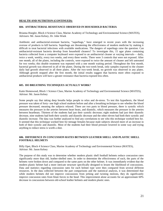### **HEALTH AND NUTRITION (CONTINUED):**

### **604. ANTIBACTERIAL RESISTANCE OBSERVED IN HOUSEHOLD BACTERIA**

Brianna Hoegler, Block 4 Science Class, Marine Academy of Technology and Environmental Science (MATES), Advisors: Mr. Jason Kelsey, Dr. John Wnek

Antibiotic and antibacterial-resistant bacteria, "superbugs," have emerged in recent years with the increasing overuse of products to kill bacteria. Superbugs are threatening the effectiveness of modern medicine by making it difficult to treat bacterial infections with available medications. The dangers of superbugs raise the question: Can antibacterial-resistant bacteria develop from household cleaners? To investigate this, 15 agar plates containing bacteria collected from a computer keyboard were exposed to an antibacterial cleaner at varying intervals— daily, twice a week, weekly, every two weeks, and every three weeks. There were 3 controls that were not exposed. After one month, all of the plates, including the controls, were exposed to twice the amount of cleaner and left untreated for two weeks; this double treatment was repeated with a one month waiting period. Throughout the first month, bacterial growth was observed in all of the plates. During the two-week break, only samples exposed to the cleaner daily had growth observed in all three plates. After the two-week break, no growth was observed in any plates. Although growth stopped after the first month, the initial results suggest that bacteria more often exposed to antibacterial products will have a greater resistance than bacteria exposed less often.

### **605. DO BREATHING TECHNIQUES ACTUALLY WORK?**

Katie Homewood, Block 1 Science Class, Marine Academy of Technology and Environmental Science (MATES), Advisor: Mr. Jason Kelsey

Some people say that taking deep breaths helps people to relax and de-stress. To test this hypothesis, the blood pressure was taken of forty- one high school students before and after a breathing technique to see whether the blood pressure decreased, meaning the subjects relaxed. There are two parts to blood pressure, there is systolic which measures the pressure in the arteries between heart beats, and diastolic, which measures the pressure in the arteries between heartbeats. Thirteen of the students had just their systolic decrease; eight students had just their diastolic decrease, nine students had both their systolic and diastolic decrease and the other eleven had both their systolic and diastolic increase. The data was further analyzed to find any correlations to see who this technique worked best for. It seemed that this technique worked best for teenage females because male subjects showed more of an increase in both of their systolic and diastolic. Most of the students had their blood pressure lowered in some way and trying anything to reduce stress is worth a shot.

### **606. DIFFERENCE IN CONCUSSION RATES BETWEEN LEATHER SHELL AND PLASTIC SHELL FOOTBALL HELMETS**

Billy Opet, Block 4 Science Class, Marine Academy of Technology and Environmental Science (MATES), Advisor: Mr. Jason Kelsey

The purpose of this study was to determine whether modern plastic shell football helmets reduce concussion rates significantly more than old, leather-shelled ones. In order to determine the effectiveness of each, the parts of the helmets were broken down and compared to the same parts on the other helmet. It was immediately evident that the modern plastic helmet had a more intricate structure specifically designed to lessen the likelihood of concussions. Data and statistics regarding concussion rates for each helmet type were then compared from several different resources. In the data collected between the part comparisons and the statistical analysis, it was determined that while modern helmets did not improve concussions from jerking and twisting motions, they do significantly improve concussion rates from blunt forces to the head. This improvement alone accounts for an approximate 60% decrease in concussions between old-school leather helmets and modern plastic ones.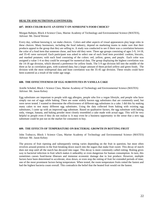### **HEALTH AND NUTRITION (CONTINUED):**

### **607. DOES COLOR HAVE AN EFFECT ON SOMEONE'S FOOD CHOICE?**

Morgan Rahtjen, Block 4 Science Class, Marine Academy of Technology and Environmental Science (MATES), Advisor: Mr. David Werner

Every day, without knowing it, we make choices. Colors and other aspects of visual appearances play large roles in these choices. Many businesses, including the food industry, depend on marketing teams to make sure that their products appeal to the group that they are selling to. A study was conducted to see if there was a correlation between the color of a food item that someone chose, and how old they were. Three age groups consisting of ages 5-9, 14-18, and 35-45 were surveyed. Each participant was asked to select one of each food item provided: cookies, biscuits, and mashed potatoes; with each food consisting of the colors: red, yellow, green, and purple. Each color was assigned a value 1-4 so they could be averaged for numerical data. The group displaying the highest correlation was the 14-18 age division, which showed a preference for yellow foods. The 5-9 age division fell into the middle of the three as far as correlation goes, with scattered data; but a larger amount of them picked yellow and green foods. The division with the most widespread data and least correlation was the 35-45 age division. These results could have been scattered as a result of the wider age range.

### **608. THE EFFECTIVENESS OF EGG SUBSTITUTES IN VANILLA CAKE**

Arielle Schobel, Block 1 Science Class, Marine Academy of Technology and Environmental Science (MATES) Advisor: Mr. Jason Kelsey

Egg substitutes are important to people with egg allergies, people who live a vegan lifestyle, and people who have simply run out of eggs while baking. There are some widely known egg substitutes that are commonly used, but were never tested. I wanted to determine the effectiveness of different egg substitutes in a cake. I did this by making many cakes to test many different egg substitutes. Using the data collected from baking with existing egg substitutes, I came up with an improved egg substitute. Based on qualitative factors, the egg substitute with baking soda, vinegar, banana, and baking powder most closely resembled a cake made with actual eggs. This will be very helpful to people even if they do not realize it. It may even be a business opportunity in the sense that a new egg substitute could be put out on the market for consumers to buy.

### **609. THE EFFECTS OF TEMPERATURE ON BACTERIAL GROWTH IN ROTTING FRUIT**

John Trabucco, Block 1 Science Class, Marine Academy of Technology and Environmental Science (MATES) Advisor: Mr. Jason Kelsey

The process of fruit ripening and subsequently rotting varies depending on the fruit in question, but most often revolves around proteins in the fruit breaking down starch into the sugars that make fruit sweet. This decay of starch does not stop until all the starch has decayed into sugar. This decay is more commonly called rotting. Rotting gives way to bacterial infection in fruit which makes it unhealthy or even dangerous for human consumption. In turn, this sometimes causes food-borne illnesses and immense economic damage due to lost produce. However, multiple factors have been determined to accelerate, slow down, or even stop the rotting of fruit for extended periods of time; one of the most prominent factors being temperature. When tested, the room temperature fruits rotted the fastest and had the highest bacteria count overall. This contradicts the belief that the heated fruit would rot the fastest.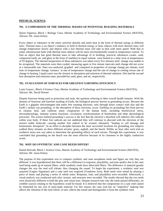### **PHYSICAL SCIENCE:**

### **701. A COMPARISON OF THE THERMAL MASSES OF POTENTIAL BUILDING MATERIALS**

Quinn Figueroa, Block 1 Biology Class, Marine Academy of Technology and Environmental Science (MATES), Advisor: Mr. Jason Kelsey

Every object or substance in the entire universe absorbs and emits heat in the form of thermal energy at different rates. Thermal mass is an object's tendency to hold in thermal energy or heat; objects with more thermal mass will change temperature slowly and objects with a low thermal mass will take in heat with more speed. With that in mind, infrastructure built with thermal mass objects will be more environmentally sound in temperature control. To find an object that has good thermal mass to take advantage of in building, practical substances (water, sand, compacted earth, air, and glass in the form of marbles) in equal volume were heated in a solar oven at temperatures of 93 degrees. The internal temperature of these substances was taken every five minutes until change was unable to be recognized. The materials were then cooled, measuring again in five minute intervals until change did not occur at a measurable rate. Data was analyzed, graphed and compared in properties of average change per minute, total time of temperature change, variance in rate of temperature change and the rate of change in cooling versus rate of change in heating. Liquid water was the slowest in absorption and emission of thermal radiation. Dirt had the second best absorption and emission rates, preceded by sand, glass, and air, respectively.

### **702. EVALUATION OF SURFACES FOR GREATEST EARTHING EFFICIENCY**

Louis Grauso , Block 4 Science Class, Marine Academy of Technology and Environmental Science (MATES), Advisor: Mr. David Werner

Despite footwear being used as protection and style, the question referring to their overall health remains. With the absence of footwear and barefoot treading of Earth, the biological process known as grounding occurs. Because the Earth is a gigantic electromagnet that emits free roaming electrons, only through direct contact with skin and the Earth's surface can grounding, or the absorption of these electrons, occur. Earthing (or grounding) has been proven to cleanse, heal, and calibrate many components of the human body, including bioelectrical stress, electrophysiology, immune system functions, circulation, synchronization of biorhythms and other physiological processes. The science behind grounding's success is the fact that the electron's absorbed will stabilize free radicals within your body. If these free radicals are not stabilized they will continue to abscond with the electrons of the nearest stable molecule, causing another free radical to be created, ultimately "leading to cell damage and homeostatic disruption". In an effort to decipher between the most successful locations for grounding, test subjects walked thirty minutes on three different terrains: grass, asphalt, and the beach. Within an hour after each trial an oxidative stress test was taken to determine the grounding effects of each terrain. Through this experiment, it was concluded that grounding on the beach was the most effective because of its closeness to the highly conductive ocean.

### **703. WHY DO SYNTHETIC AND CANE REEDS DIFFER?**

Daniel Horvath, Block 1 Science Class, Marine Academy of Technology and Environmental Science (MATES), Advisor: Mr. Jason Kelsey

The purpose of this experiment was to compare synthetic and cane saxophone reeds and figure out why they are different. It was hypothesized that there will be a difference in response, playability, and tone quality due to the cane reed being made up of natural fibers, while synthetic reeds have fabricated fibers. The difference in material greatly changes the way the reed will vibrate, thus changing the sound. To begin the experiment, a synthetic reed was acquired (Legere Signature) and a cane reed was acquired (Vandoren Java). Both reeds were tested by playing a piece of music and playing a series of whole notes. Response, tone, and playability were recorded. Afterwards, a visual analysis was conducted and color, texture, and structure were recorded. The results showed that the two reeds were drastically different in both the play and visual tests. Despite research into why the reeds played differently, no credible sources relating to the hypothesis could be found. It is believed that the composition of a cane reed cannot be mimicked by any sort of man-made material. For this reason, the cane reed has an "imperfect" makeup that affects the vibration of the reed which, in turn, affects the sound and distinguishes it from the synthetic reed.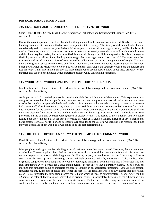### **PHYSICAL SCIENCE (CONTINUED):**

### **704. ELASTICITY AND DURABILITY OF DIFFERENT TYPES OF WOOD**

Suzie Kuhne, Block 3 Science Class, Marine Academy of Technology and Environmental Science (MATES), Advisor: Mr. Kelsey

One of the most important, as well as abundant building material in the modern world is wood. Nearly every house, building, structure, etc. has some kind of wood incorporated into its design. The strengths of different kinds of wood are relatively well-known and easy to find out; Most people know that oak is strong and sturdy, while pine is much weaker. However, since oak is stronger than pine, it does not necessarily mean that oak will be able to hold more weight. Pine may be weaker, but it is more flexible than oak, bringing to light the question: Is this advantage in flexibility enough to allow pine to hold up more weight than a stronger material such as oak? The experiment that was conducted tested how far a piece of wood would be pulled down by an increasing amount of weight. This was done by hanging a bucket from the wood and filling it with more and more sand while measuring how far the wood bends down. After the results were collected, it was found that on average, the stronger woods bend the farthest and last the longest. This information can provide more insight when people need to know about these properties of the material, and can help them decide which material to choose while constructing something.

### **705. WOOD BATS – WHICH TYPE LEADS THE PERFORMANCE LINEUP?**

Matthew Marinelli, Block 1 Science Class, Marine Academy of Technology and Environmental Science (MATES), Advisor: Mr. Jason Kelsey

An important task for baseball players is choosing the right bat – it is a tool of their trade. This experiment was designed to determine the best performing wooden bat. A two part procedure was utilized to obtain data from wooden bats made of maple, ash, birch, and bamboo. Part one used a homemade stationary bat device to measure ball distance off of each motionless bat; where part two used three live batters to measure ball distance from their hits to account for the varying swing of individual batters. Bats with consistent length and weights were used and the same distance from pitcher to bat, pitching technique, and batter age were maintained. Multiple trials were performed on the bats and averages were graphed to display results. The results of the stationary and live batter testing both show the ash bat as the best performing bat with an average stationary distance of 99.44 inches and batter distance of 65.05 yards. For any baseball player considering the use of a wooden bat, it is recommended that they use a bat made of ash wood, as it was found to be the best performing bat.

### **706. THE EFFECTS OF THE SUN AND WATER ON COMPOSITE DECKING AND WOOD**

Derek Schmidt, Block 3 Science Class, Marine Academy of Technology and Environmental Science (MATES) Advisor: Mr. Jason Kelsey

Most people would argue that Trex decking material performs better than regular wood. However, there is one major drawback to Trex—the price. Trex decking can cost as much as seven dollars per square foot which is more than twice as expensive as most wood decking materials. For my project, I wanted to test the actual durability of Trex to see if it really lives up to its marketing claims and high perceived value by consumers. I also studied what organisms can grow on Trex compared to wood by submerging samples of both materials into a freshwater lake and analyzing results every 2 weeks for a three month period. To test one of Trex's durability claims, I used a SunTest machine that simulates aging of materials exposed to sunlight in an accelerated timeframe. One 24 hour session simulates roughly 12 months of actual time. After the first test, the Trex appeared to be 10% lighter than its original color. I also completed the simulation process for 72 hours which is equal to approximately 3 years. After, the full 72 hours, the color of Trex was 25% lighter than its original color. Unfortunately, the results of the submersion tests were inconclusive because of the numerous climate factors. Factors such as the change of seasons from fall to winter and the excessively cold temperatures for long durations certainly impacted the expected organism growth.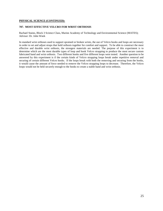### **PHYSICAL SCIENCE (CONTINUED):**

### **707. MOST EFFECTIVE VELCRO FOR WRIST ORTHOSIS**

Rachael Staino, Block 3 Science Class, Marine Academy of Technology and Environmental Science (MATES); Advisor: Dr. John Wnek

In standard wrist orthoses used to support sprained or broken wrists, the use of Velcro hooks and loops are necessary in order to set and adjust straps that hold orthosis together for comfort and support. To be able to construct the most effective and durable wrist orthosis, the strongest materials are needed. The purpose of this experiment is to determine which are the most durable types of loop and hook Velcro strapping to produce the most secure custom fabricated hand and wrist orthosis. Two different hooks and five different loops were tested. Another question to be answered by this experiment is if the certain kinds of Velcro strapping loops break under repetitive removal and securing of certain different Velcro hooks. If the loops break with both the removing and securing from the hooks, it would cause the amount of force needed to remove the Velcro strapping loops to decrease. Therefore, the Velcro loops would not be held securely enough to the hooks to create a stable hand and wrist orthosis.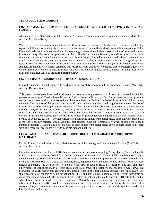### **TECHNOLOGY AND ENERGY:**

### **801. CAN SMALL-SCALE HYDROELECTRIC GENERATORS BE USED EFFECTIVELY IN EXISTING CANALS?**

Aleksandr Dopko, Block 4 Science Class, Marine Academy of Technology and Environmental Science (MATES), Advisor: Mr. Jason Kelsey

Water is the most abundant resource this world offers. In more recent years, it has been used for more than housing aquatic wildlife and sustaining life in the world, it has proven to be a well-received, renewable source of electricity. Dams and underwater turbines are able to harness energy created through the constant motion of water and convert it into electricity. Hydroelectric generators can be profitable for the manufacturers, as well as beneficial for local economies and reducing the local carbon footprint. In this project, I tested a miniature hydroelectric generator in a canal where water currents and waves were not as common as they would be near an ocean. The generator was tested to see if it would function in the waters of a canal, leading to a success. Using a faucet turned on different settings, the amount of electricity generated was recorded. From this, it was concluded that hydroelectric generators would indeed be effective in existing canals. This data can help businesses such as marinas or even local power grids that exist near canals to profit from storing energy.

### **802. GENERATING RANDOM NUMBERS USING SOCIAL MEDIA**

Michael Grantham, Block 3 Science Class, Marine Academy of Technology and Environmental Science (MATES), Advisor: Dr. John Wnek

This project investigates how random different random number generators are. A total of five random number generators were tested. Testing began November 3rd and lasted until January 10th. During these tests a script would continuously create random numbers and add them to a database. Each test collected three to four million random numbers. The purpose of this project was to see if better random numbers could be generated without the use of external hardware or a third-party generator service. The random numbers from each test were run through several different analyses. In the end a boxplot, and the p-values from a chi squared test on each were found. The chi squared p-value shows correlation in a set of data, the higher the p-value the more random the data is. The 4th version of the random number generator that used twitter to generate random numbers was the most random with a p-value of 56235223621678.4. My hypothesis stated that using photos from social media sites that were stored in a cache and randomly selected would yield the best random numbers. Unfortunately when building the random number generators I found that it is not practical to fetch photos from social media due to request limits set by such sites. It is more practical to use tweets to generate random numbers.

### **803. AT WHAT DISTANCE CAN RFID READERS DETECT TAGS WRAPPED IN DIFFERENT MATERIALS?**

Perbhat Kumar, Block 4 Science Class, Marine Academy of Technology and Environmental Science (MATES), Advisor: Mr. Kelsey

Radio frequency identification, or RFID, is a technology used in almost everything. Many objects, from credit cards, to EZ passes on the highway use RFID to process payments, or transfer data. Though RFID may sound secure, it is quite the contrary. Many RFID hackers and criminals could easily come into proximity of an RFID powered credit card, and steal data, such as a credit card number, name, expiration date, and even a billing address. With advanced enough equipment, it is even possible to clone a credit card, or even an RFID key, passport, bus pass, and many other means of identification. In a recent study done by a group of developers and hackers, it was shown that decrypting an RFID reader only required a few lines of code in the programming language known as Ruby. The study describes the dangers of being too reliant on RFID, and shows how in some cases, the credit cards from an entire store can be exploited! This experiment tested different materials that could prevent RFID data leaks, and at what distance from the reader they were detectable. Materials such as stainless steel and water were the most efficient at blocking the RFID readers, while aluminum was very helpful in protecting the cards. So, even if it is convenient to just touch a card to a scanner to process a payment, it is not very secure, and if exploited, could cost a lot of problems and money.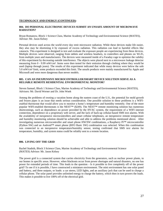### **TECHNOLOGY AND ENERGY (CONTINUED):**

### **804. DO PERSONAL ELECTRONIC DEVICES SUBMIT AN UNSAFE AMOUNT OF MICROWAVE RADIATION?**

Bryan Romanow, Block 1 Science Class, Marine Academy of Technology and Environmental Science (MATES), Advisor: Mr. Jason Kelsey

Personal devices used across the world every day emit microwave radiation. While these devices make life easier, they also may be shortening it by exposure of excess radiation. This radiation can lead to harmful effects like cataracts. This experiment is designed to test and evaluate the exposure people are experiencing from these devices. Multiple devices were observed, ranging from tablets and wireless headsets, to controllers and phones on Wi-Fi, from multiple years and manufacturers. The devices were measured inside of a Faraday cage to optimize the validity of this experiment by decreasing outside interference. The objects were placed next to a microwave leakage detector measuring from 0 - 9.99 mW/cm². Items were then tested for their emission through clothing where they would be used (laptop through jeans). The results of this experiment indicated that while many devices were below the safe 5.0 mW/cm² limit, some products exceeded this limit. The unsafe products were mainly manufactured by Apple and Microsoft and were more dangerous than newer models.

### **805. CAN AN INEXPENSIVE MICROCONTROLLER/SMART DEVICE SOLUTION SERVE AS A RELIABLE REMOTE RESIDENTIAL ENVIRONMENTAL MONITOR?**

Steven Samuel, Block 1 Science Class, Marine Academy of Technology and Environmental Science (MATES), Advisors: Mr. David Werner and Dr. John Wnek

Among the problems of owning a vacation home along the eastern coast of the U.S., the potential for mold growth and frozen pipes is an issue that needs serious consideration. One possible solution to these problems is a WIFIenabled thermostat that would allow you to monitor a home's temperature and humidity remotely. One of the more popular WIFI-enabled thermostats is the NEST™ (\$249). The NEST™ remote monitoring solution has numerous shortcomings, such as dependence on power provided by the HVAC system, the requirement of a WIFI internet connection, dependence on a proprietary web server, and the lack of back-up cellular-based SMS text alarms. With the availability of inexpensive microcontrollers and smart cellular telephones, an inexpensive remote temperature and humidity monitoring solution should be achievable and able to address the problems mentioned above. After investigating numerous microcontroller and smart phone HW/SW combinations, a Raspberry Pi™ microcontroller (Python SW) and an Android™ smart phone (RFO Basic SW) combination was selected. When this combination was connected to an inexpensive temperature/humidity sensor, testing confirmed that SMS text alarms for temperature, humidity, and system status could be reliably sent to a remote location.

### **806. LIVING OFF THE GRID**

Rachel Stadnik, Block 3 Science Class, Marine Academy of Technology and Environmental Science (MATES) Advisor: Mr. Jason Kelsey

The power grid is a connected system that carries electricity from the generators, such as nuclear power plants, to our homes in specific areas. However, when blackouts occur from power shortages and natural disasters, no one has power for extended periods of time. This leads to the question - Is it possible to live completely off of the power grid? To see if it is possible, I have constructed a miniature environment. The mini environment has one solar panel and battery, and three outputs, or loads: a car stereo, LED lights, and an auxiliary jack that can be used to charge a cellular phone. The solar panel provides unlimited energy to charge the battery, which then in turn powers the loads. This makes it possible to live 100% off of the electrical grid.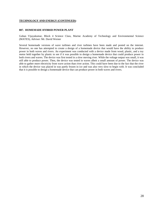### **TECHNOLOGY AND ENERGY (CONTINUED):**

### **807. HOMEMADE HYBRID POWER PLANT**

Guhan Vijayakumar, Block 4 Science Class, Marine Academy of Technology and Environmental Science (MATES), Advisor: Mr. David Werner

Several homemade versions of wave turbines and river turbines have been made and posted on the internet. However, no one has attempted to create a design of a homemade device that would have the ability to produce power in both waves and rivers. An experiment was conducted with a device made from wood, plastic, and a toy motor held together by plastic to see if it was possible to design a homemade device that could produce power in both rivers and waves. The device was first tested in a slow moving river. While the voltage output was small, it was still able to produce power. Then, the device was tested in waves albeit a small amount of power. The device was able to gather more electricity from wave action than river action. This could have been due to the fact that the river in which the device was placed in was partly frozen in ice and was also very slow to begin with. It was concluded that it is possible to design a homemade device that can produce power in both waves and rivers.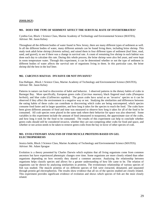### **ZOOLOGY:**

### **901. DOES THE TYPE OF SEDIMENT AFFECT THE SURVIVAL RATE OF INVERTEBRATES?**

Cynthia Gui, Block 1 Science Class, Marine Academy of Technology and Environmental Science (MATES), Advisor: Mr. Jason Kelsey

Throughout all the different bodies of water found in New Jersey, there are many different types of sediment as well. In all the different bodies of water, many different animals can be found living there, including brine shrimp. This study took adult brine shrimp (*Artemia salina*), and raised them in four different types of sediment (leaf litter, mud, sand, and gravel), to see if there was a change in survival rate. A count of remaining live shrimp in each habitat was done each day to calculate this rate. During this whole process, the brine shrimp were also fed yeast, and were kept in room temperature water. Through this experiment, it can be determined whether or not the type of sediment in different bodies of water affects the survival rate of organisms living in them. In this particular case, the brine shrimp did the best in the leaf litter.

### **902.** *CARCINUS MAENAS***: INVASIVE OR NOT INVASIVE?**

Ena Haltigan , Block 1 Science Class, Marine Academy of Technology and Environmental Science (MATES), Advisor: Mr. Jason Kelsey

Patterns in nature can lead to discoveries of habit and behavior. I observed patterns in the dietary habits of crabs in Barnegat Bay. More specifically, European green crabs (*Carcinus maenas*), black fingered mud crabs (*Panopeus herbstii*), and blue crabs (*Callinectes sapidus*). The green crabs have acted as an 'invasive' species so it can be observed if they affect the environment in a negative way or not. Studying the similarities and differences between the eating habits of these crabs can contribute to discovering which crabs are being outcompeted, which species consume food faster and in larger quantities, and how long it takes for the species to reach the food. The crabs have been given different amounts of food and time was measured to observe how long it takes for all of the food to be consumed. All crab species were placed in the same tank where their behavior for space was also observed. Some variables in this experiment include the amount of food (measured in teaspoons), the approximate size of the crabs, and how long it took for the food to be consumed. The results of this experiment can help to conclude whether green crabs should still be considered invasive, whether they are out-competing other crabs for food and space, and whether or not action needs to be taken to remove green crabs from the bay in favor of other species of crab.

### **903. EVOLUTIONARY ANALYSIS OF FISH MUSCLE PROTEINS BASED ON GEL ELECTROPHORESIS**

Jessica Intile, Block 3 Science Class, Marine Academy of Technology and Environmental Science (MATES); Advisor: Mr. Adam Sprague

Evolution is a theory presented by Charles Darwin which explains that all living organisms come from common ancestors but have experienced phenotypic changes over time. Some organisms are more closely related than other organisms depending on how recently they shared a common ancestor. Analyzing the relationship between organisms helps classify species and allows for a greater understanding of how life came to be. The relation of organisms can be shown by analyzing similarities in proteins. The evolutionary relationship of various species of fish was studied. The muscle proteins of six different species of fish were extracted, denatured, and separated through protein gel electrophoresis. The results show evidence that all six of the species studied are closely related. This experiment provides significant evidence of evolution and shows which species of fish are the most closely related.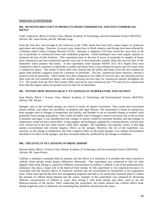### **ZOOLOGY (CONTINUED):**

### **904. DO PESTICIDES EXIST IN PRODUCTS FROM COMMERICIAL AND NON-COMMERCIAL HIVES?**

Cedric Jankowski, Block 4 Science Class, Marine Academy of Technology and Environmental Science (MATES), Advisor: Mr. Jason Kelsey and Mr. Michael Long

From the time they were brought to the Americas in the 1700s, honey bees have had a major impact on American agriculture and ecology. However, in recent years, honey bees in North America and Europe have been affected by a disorder called Colony Collapse Disorder (CCD). Attempts to diagnose CCD have traced the cause back to the use of pesticides in commercial farms and residential properties. Some beekeepers have used organic apiaries to minimize the loss of their beehives. This experiment aims to discover if traces of pesticides in samples of honey from commercial and non-commercial apiaries exist and if these pesticides actually affect the survival rates of the honeybees which produce that honey. In the experiment, three separate NIDS® ACE III-C Rapid Tests were conducted to detect a presence of pesticides in pollen and honey from a non-commercial apiary and raw honey from a commercial apiary. The results of these three tests showed that the pollen and honey from the non-commercial apiary both showed a negative result for a presence of pesticides. The raw, commercial honey however, showed a positive result for pesticides. These results were then compared to two tables of survival rates, one showing survival rates from the non-commercial apiary, and another showing survival rates for commercial apiaries throughout the U.S. The results from the 2013-2014 winter (90% survival for non-commercial and 77% survival for commercial) show that the organic apiary has greater survival rates for its honeybees.

### **905. TESTING HOW SPONGES REACT TO CHANGES IN TEMPERATURE AND SALINITY**

Sean Martin, Block 3 Science Class, Marine Academy of Technology and Environmental Science (MATES), Advisor: Mr. Werner

Sponges, such as the red beard sponge, are critical to nearly all aquatic ecosystems. They ensure that ecosystems remain healthy, and reduce the possibility of plankton and algae blooms. The experiment is based on testing how these sponges react to changes in temperature and salinity, and whether or not an extended change in weather could potentially harm sponge populations. That would inevitably lead to damage to entire ecosystems due to the increase in plankton and algae. It was hypothesized that changes in salinity would be extremely harmful, and that changes in temperature would not have much effect. Using supplies and techniques supplied by a teacher/advisor, several trials were carried out to test how these factors could affect sponges. The hypothesis was partially correct in that high salinity environments had extreme negative effects on the sponges. However, the rest of the hypothesis was incorrect, as the change in temperature also had a negative effect on the tested sponges. Low salinity environments had little to no effect on the sponges, and they remained relatively unaffected by the change in conditions.

### **906. THE EFFECTS OF CAFFEINE ON BRINE SHRIMP**

Shavani Mody, Block 1 Science Class, Marine Academy of Technology and Environmental Science (MATES); Advisor: Mr. Jason Kelsey

Caffeine, a substance consumed daily by humans, has the effects of a stimulant. It is possible that when exposed to caffeine, brine shrimp would display differences afterwards. This experiment was conducted to find out what happens when brine shrimp is exposed to different concentrations of caffeine. Caffeine is one of the pollutants/toxic substances that plays a major role in the death of brine shrimp. So this experiment is very important because it is concerned with the harmful effects of chemicals released into the environment by households in low population areas. Those areas specifically have less management programs and little or no wastewater treatment plans to control the amounts of caffeine being released into the waters. Samples of this experiment were prepared by dissolving different concentrations of caffeine in water, then mixing it with brine shrimp and saline water to see the behavior/reaction of the species. After conducting the experiment, the results showed that caffeine affects brine shrimp negatively and it is definitely not something that should be released into the waters.